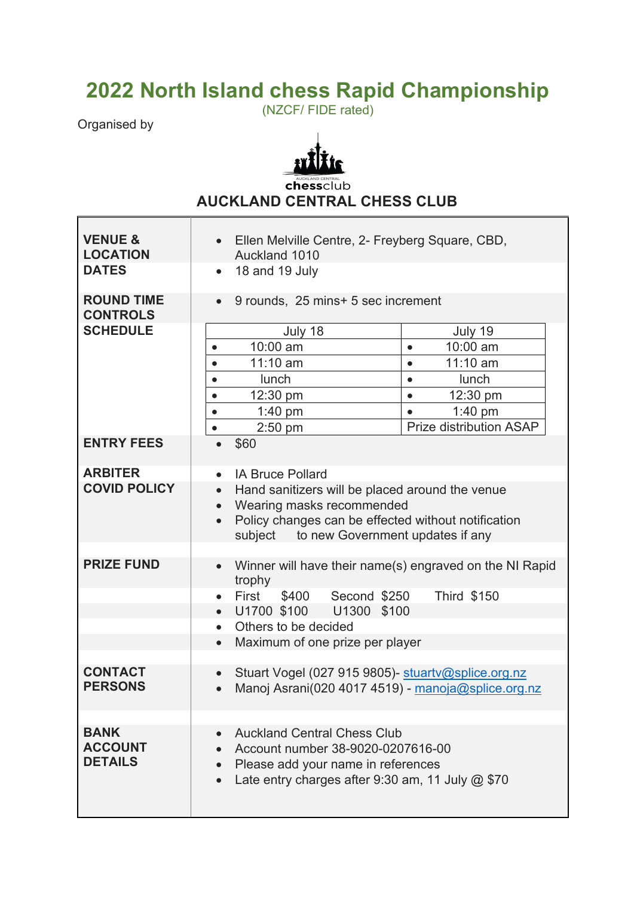## **2022 North Island chess Rapid Championship** (NZCF/ FIDE rated)

Organised by



Chessclub **AUCKLAND CENTRAL CHESS CLUB**

| <b>VENUE &amp;</b><br><b>LOCATION</b>           | Ellen Melville Centre, 2- Freyberg Square, CBD,<br>$\bullet$<br>Auckland 1010                                                                                                                                                                                  |  |  |
|-------------------------------------------------|----------------------------------------------------------------------------------------------------------------------------------------------------------------------------------------------------------------------------------------------------------------|--|--|
| <b>DATES</b>                                    | 18 and 19 July<br>$\bullet$                                                                                                                                                                                                                                    |  |  |
| <b>ROUND TIME</b><br><b>CONTROLS</b>            | 9 rounds, 25 mins+ 5 sec increment<br>$\bullet$                                                                                                                                                                                                                |  |  |
| <b>SCHEDULE</b>                                 | July 18<br>July 19<br>10:00 am<br>10:00 am<br>$\bullet$<br>$\bullet$<br>11:10 am<br>$11:10$ am<br>$\bullet$<br>lunch<br>lunch<br>$\bullet$<br>$\bullet$<br>12:30 pm<br>12:30 pm<br>$\bullet$<br>$\bullet$<br>$1:40$ pm<br>$1:40$ pm<br>$\bullet$<br>$\bullet$  |  |  |
| <b>ENTRY FEES</b>                               | Prize distribution ASAP<br>$2:50$ pm<br>$\bullet$<br>\$60                                                                                                                                                                                                      |  |  |
|                                                 |                                                                                                                                                                                                                                                                |  |  |
| <b>ARBITER</b><br><b>COVID POLICY</b>           | <b>IA Bruce Pollard</b><br>$\bullet$<br>Hand sanitizers will be placed around the venue<br>$\bullet$<br>Wearing masks recommended<br>$\bullet$<br>Policy changes can be effected without notification<br>$\bullet$<br>subject to new Government updates if any |  |  |
| <b>PRIZE FUND</b>                               | Winner will have their name(s) engraved on the NI Rapid<br>$\bullet$<br>trophy<br><b>Third \$150</b><br>First<br>\$400 Second \$250<br>$\bullet$<br>U1700 \$100 U1300 \$100<br>$\bullet$<br>Others to be decided<br>$\bullet$                                  |  |  |
|                                                 | Maximum of one prize per player<br>$\bullet$                                                                                                                                                                                                                   |  |  |
| <b>CONTACT</b><br><b>PERSONS</b>                | Stuart Vogel (027 915 9805)- stuartv@splice.org.nz<br>Manoj Asrani(020 4017 4519) - manoja@splice.org.nz<br>$\bullet$                                                                                                                                          |  |  |
|                                                 |                                                                                                                                                                                                                                                                |  |  |
| <b>BANK</b><br><b>ACCOUNT</b><br><b>DETAILS</b> | <b>Auckland Central Chess Club</b><br>Account number 38-9020-0207616-00<br>Please add your name in references<br>Late entry charges after 9:30 am, 11 July $@$ \$70                                                                                            |  |  |